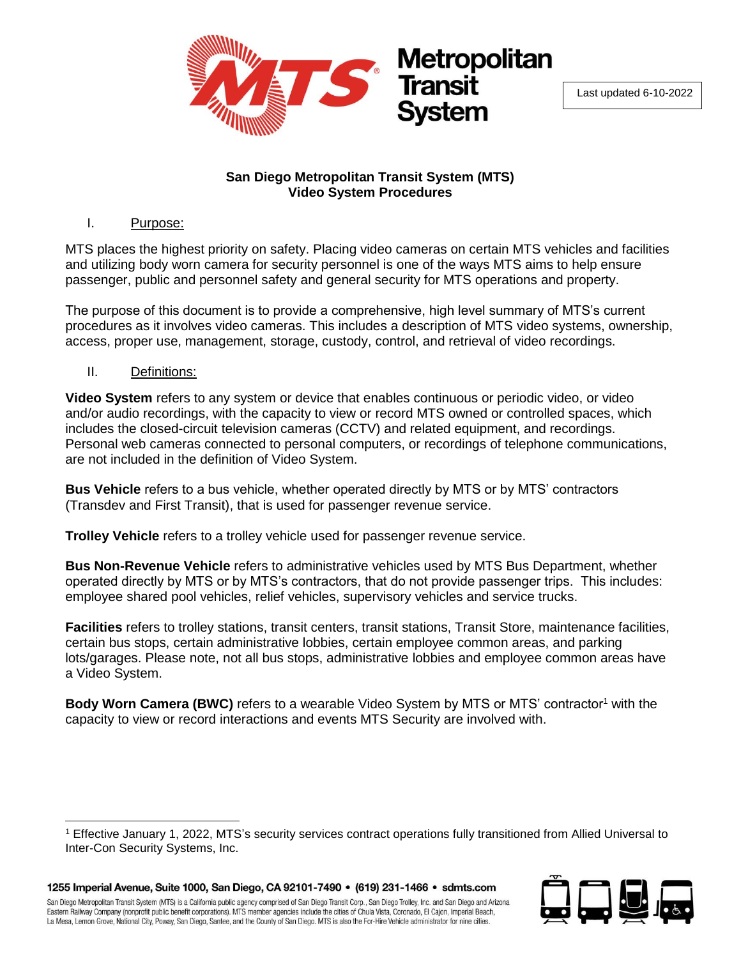

Last updated 6-10-2022

#### **San Diego Metropolitan Transit System (MTS) Video System Procedures**

### I. Purpose:

MTS places the highest priority on safety. Placing video cameras on certain MTS vehicles and facilities and utilizing body worn camera for security personnel is one of the ways MTS aims to help ensure passenger, public and personnel safety and general security for MTS operations and property.

The purpose of this document is to provide a comprehensive, high level summary of MTS's current procedures as it involves video cameras. This includes a description of MTS video systems, ownership, access, proper use, management, storage, custody, control, and retrieval of video recordings.

II. Definitions:

**Video System** refers to any system or device that enables continuous or periodic video, or video and/or audio recordings, with the capacity to view or record MTS owned or controlled spaces, which includes the closed-circuit television cameras (CCTV) and related equipment, and recordings. Personal web cameras connected to personal computers, or recordings of telephone communications, are not included in the definition of Video System.

**Bus Vehicle** refers to a bus vehicle, whether operated directly by MTS or by MTS' contractors (Transdev and First Transit), that is used for passenger revenue service.

**Trolley Vehicle** refers to a trolley vehicle used for passenger revenue service.

**Bus Non-Revenue Vehicle** refers to administrative vehicles used by MTS Bus Department, whether operated directly by MTS or by MTS's contractors, that do not provide passenger trips. This includes: employee shared pool vehicles, relief vehicles, supervisory vehicles and service trucks.

**Facilities** refers to trolley stations, transit centers, transit stations, Transit Store, maintenance facilities, certain bus stops, certain administrative lobbies, certain employee common areas, and parking lots/garages. Please note, not all bus stops, administrative lobbies and employee common areas have a Video System.

**Body Worn Camera (BWC)** refers to a wearable Video System by MTS or MTS' contractor<sup>1</sup> with the capacity to view or record interactions and events MTS Security are involved with.



 $\overline{a}$ <sup>1</sup> Effective January 1, 2022, MTS's security services contract operations fully transitioned from Allied Universal to Inter-Con Security Systems, Inc.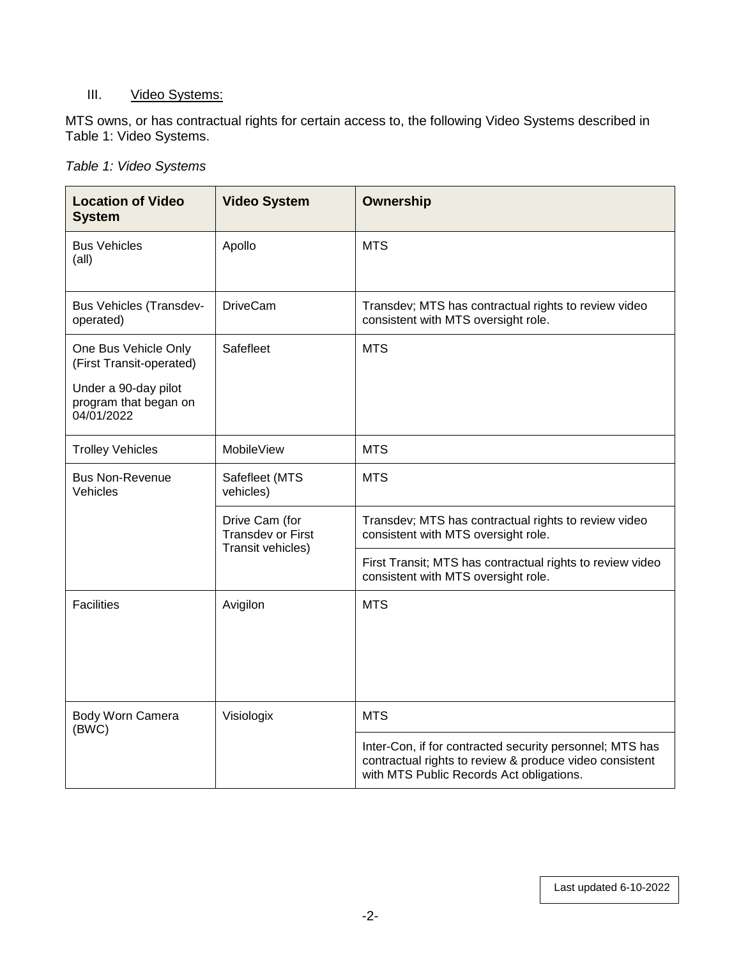# III. Video Systems:

MTS owns, or has contractual rights for certain access to, the following Video Systems described in Table 1: Video Systems.

|  |  |  | Table 1: Video Systems |
|--|--|--|------------------------|
|--|--|--|------------------------|

| <b>Location of Video</b><br><b>System</b>                                                                       | <b>Video System</b>                                             | <b>Ownership</b>                                                                                                                                                |
|-----------------------------------------------------------------------------------------------------------------|-----------------------------------------------------------------|-----------------------------------------------------------------------------------------------------------------------------------------------------------------|
| <b>Bus Vehicles</b><br>(all)                                                                                    | Apollo                                                          | <b>MTS</b>                                                                                                                                                      |
| <b>Bus Vehicles (Transdev-</b><br>operated)                                                                     | <b>DriveCam</b>                                                 | Transdev; MTS has contractual rights to review video<br>consistent with MTS oversight role.                                                                     |
| One Bus Vehicle Only<br>(First Transit-operated)<br>Under a 90-day pilot<br>program that began on<br>04/01/2022 | Safefleet                                                       | <b>MTS</b>                                                                                                                                                      |
| <b>Trolley Vehicles</b>                                                                                         | MobileView                                                      | <b>MTS</b>                                                                                                                                                      |
| <b>Bus Non-Revenue</b><br>Vehicles                                                                              | <b>MTS</b><br>Safefleet (MTS<br>vehicles)                       |                                                                                                                                                                 |
|                                                                                                                 | Drive Cam (for<br><b>Transdev or First</b><br>Transit vehicles) | Transdev; MTS has contractual rights to review video<br>consistent with MTS oversight role.                                                                     |
|                                                                                                                 |                                                                 | First Transit; MTS has contractual rights to review video<br>consistent with MTS oversight role.                                                                |
| <b>Facilities</b>                                                                                               | Avigilon                                                        | <b>MTS</b>                                                                                                                                                      |
| Body Worn Camera<br>(BWC)                                                                                       | Visiologix                                                      | <b>MTS</b>                                                                                                                                                      |
|                                                                                                                 |                                                                 | Inter-Con, if for contracted security personnel; MTS has<br>contractual rights to review & produce video consistent<br>with MTS Public Records Act obligations. |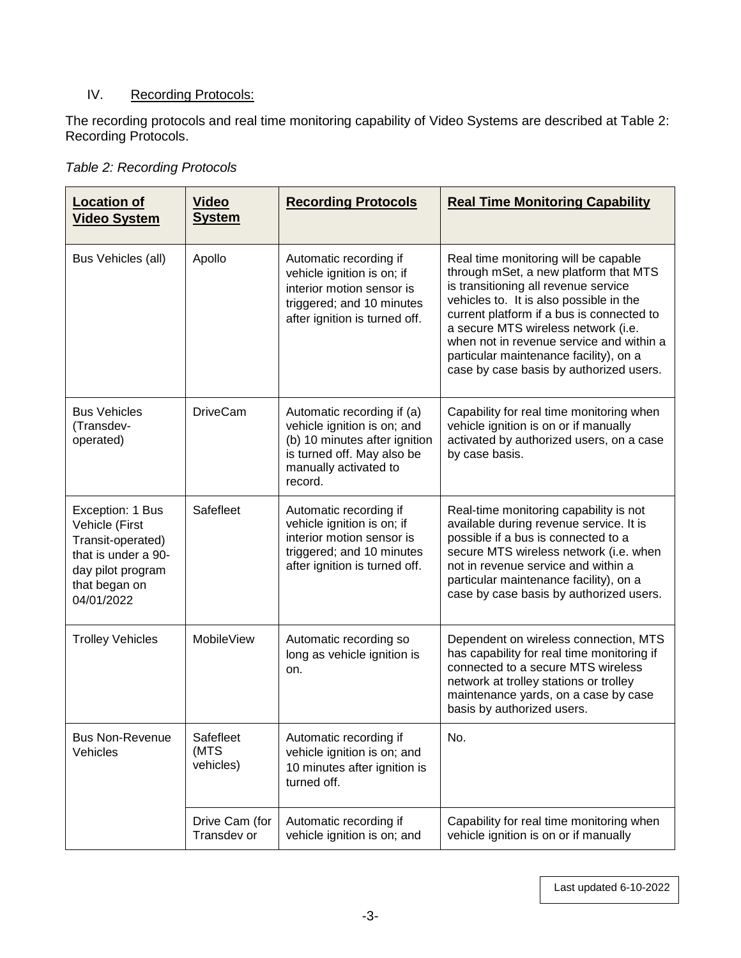# IV. Recording Protocols:

The recording protocols and real time monitoring capability of Video Systems are described at Table 2: Recording Protocols.

|  | Table 2: Recording Protocols |
|--|------------------------------|
|  |                              |

| <b>Location of</b><br><b>Video System</b>                                                                                          | <b>Video</b><br><b>System</b>  | <b>Recording Protocols</b>                                                                                                                                   | <b>Real Time Monitoring Capability</b>                                                                                                                                                                                                                                                                                                                                                |
|------------------------------------------------------------------------------------------------------------------------------------|--------------------------------|--------------------------------------------------------------------------------------------------------------------------------------------------------------|---------------------------------------------------------------------------------------------------------------------------------------------------------------------------------------------------------------------------------------------------------------------------------------------------------------------------------------------------------------------------------------|
| Bus Vehicles (all)                                                                                                                 | Apollo                         | Automatic recording if<br>vehicle ignition is on; if<br>interior motion sensor is<br>triggered; and 10 minutes<br>after ignition is turned off.              | Real time monitoring will be capable<br>through mSet, a new platform that MTS<br>is transitioning all revenue service<br>vehicles to. It is also possible in the<br>current platform if a bus is connected to<br>a secure MTS wireless network (i.e.<br>when not in revenue service and within a<br>particular maintenance facility), on a<br>case by case basis by authorized users. |
| <b>Bus Vehicles</b><br>(Transdev-<br>operated)                                                                                     | <b>DriveCam</b>                | Automatic recording if (a)<br>vehicle ignition is on; and<br>(b) 10 minutes after ignition<br>is turned off. May also be<br>manually activated to<br>record. | Capability for real time monitoring when<br>vehicle ignition is on or if manually<br>activated by authorized users, on a case<br>by case basis.                                                                                                                                                                                                                                       |
| Exception: 1 Bus<br>Vehicle (First<br>Transit-operated)<br>that is under a 90-<br>day pilot program<br>that began on<br>04/01/2022 | Safefleet                      | Automatic recording if<br>vehicle ignition is on; if<br>interior motion sensor is<br>triggered; and 10 minutes<br>after ignition is turned off.              | Real-time monitoring capability is not<br>available during revenue service. It is<br>possible if a bus is connected to a<br>secure MTS wireless network (i.e. when<br>not in revenue service and within a<br>particular maintenance facility), on a<br>case by case basis by authorized users.                                                                                        |
| <b>Trolley Vehicles</b>                                                                                                            | <b>MobileView</b>              | Automatic recording so<br>long as vehicle ignition is<br>on.                                                                                                 | Dependent on wireless connection, MTS<br>has capability for real time monitoring if<br>connected to a secure MTS wireless<br>network at trolley stations or trolley<br>maintenance yards, on a case by case<br>basis by authorized users.                                                                                                                                             |
| <b>Bus Non-Revenue</b><br>Vehicles                                                                                                 | Safefleet<br>(MTS<br>vehicles) | Automatic recording if<br>vehicle ignition is on; and<br>10 minutes after ignition is<br>turned off.                                                         | No.                                                                                                                                                                                                                                                                                                                                                                                   |
|                                                                                                                                    | Drive Cam (for<br>Transdev or  | Automatic recording if<br>vehicle ignition is on; and                                                                                                        | Capability for real time monitoring when<br>vehicle ignition is on or if manually                                                                                                                                                                                                                                                                                                     |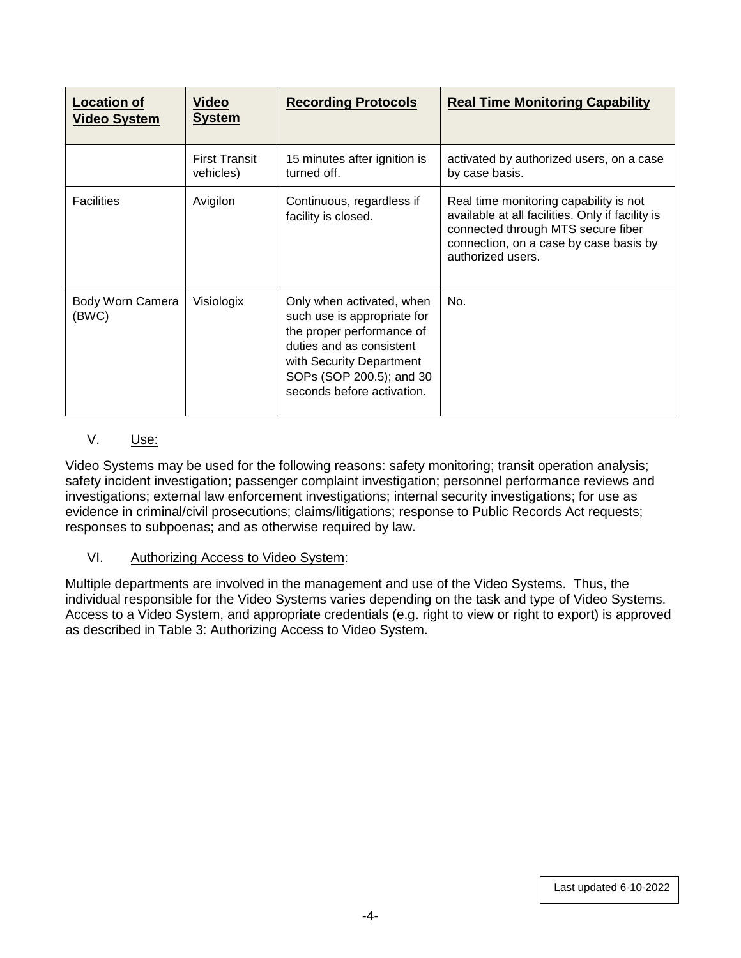| <b>Location of</b><br><b>Video System</b> | <u>Video</u><br><b>System</b>     | <b>Recording Protocols</b>                                                                                                                                                                              | <b>Real Time Monitoring Capability</b>                                                                                                                                                          |
|-------------------------------------------|-----------------------------------|---------------------------------------------------------------------------------------------------------------------------------------------------------------------------------------------------------|-------------------------------------------------------------------------------------------------------------------------------------------------------------------------------------------------|
|                                           | <b>First Transit</b><br>vehicles) | 15 minutes after ignition is<br>turned off.                                                                                                                                                             | activated by authorized users, on a case<br>by case basis.                                                                                                                                      |
| <b>Facilities</b>                         | Avigilon                          | Continuous, regardless if<br>facility is closed.                                                                                                                                                        | Real time monitoring capability is not<br>available at all facilities. Only if facility is<br>connected through MTS secure fiber<br>connection, on a case by case basis by<br>authorized users. |
| Body Worn Camera<br>(BWC)                 | Visiologix                        | Only when activated, when<br>such use is appropriate for<br>the proper performance of<br>duties and as consistent<br>with Security Department<br>SOPs (SOP 200.5); and 30<br>seconds before activation. | No.                                                                                                                                                                                             |

## V. Use:

Video Systems may be used for the following reasons: safety monitoring; transit operation analysis; safety incident investigation; passenger complaint investigation; personnel performance reviews and investigations; external law enforcement investigations; internal security investigations; for use as evidence in criminal/civil prosecutions; claims/litigations; response to Public Records Act requests; responses to subpoenas; and as otherwise required by law.

## VI. Authorizing Access to Video System:

Multiple departments are involved in the management and use of the Video Systems. Thus, the individual responsible for the Video Systems varies depending on the task and type of Video Systems. Access to a Video System, and appropriate credentials (e.g. right to view or right to export) is approved as described in Table 3: Authorizing Access to Video System.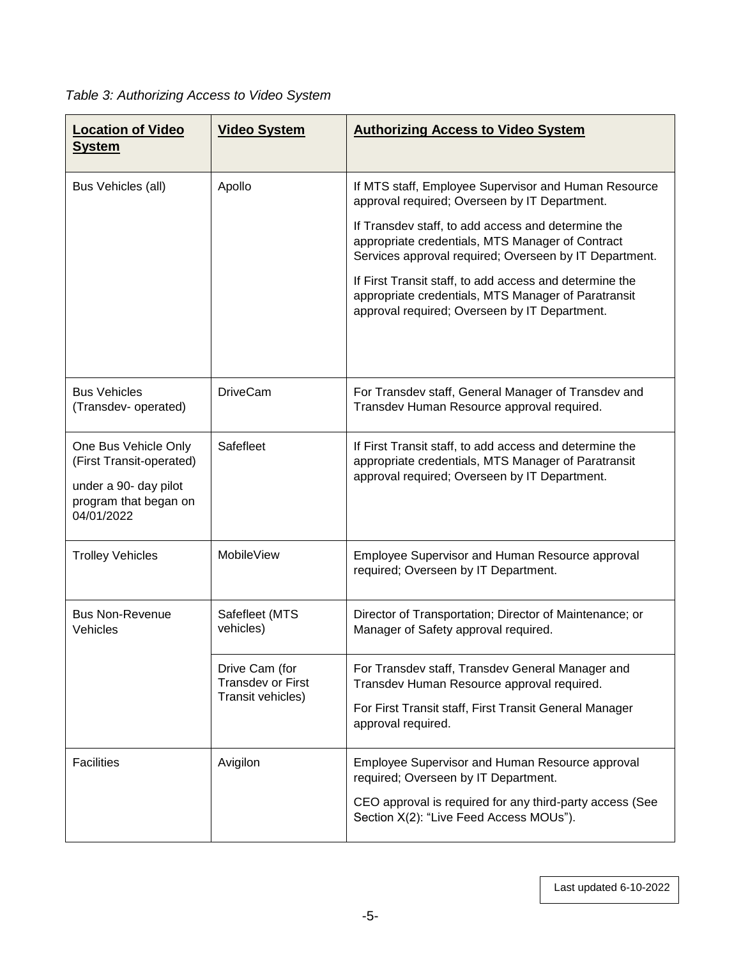# *Table 3: Authorizing Access to Video System*

| <b>Location of Video</b><br><b>System</b>                                                                        | <b>Video System</b>                                             | <b>Authorizing Access to Video System</b>                                                                                                                                                                                                                                                                                                                                                                                                    |
|------------------------------------------------------------------------------------------------------------------|-----------------------------------------------------------------|----------------------------------------------------------------------------------------------------------------------------------------------------------------------------------------------------------------------------------------------------------------------------------------------------------------------------------------------------------------------------------------------------------------------------------------------|
| Bus Vehicles (all)                                                                                               | Apollo                                                          | If MTS staff, Employee Supervisor and Human Resource<br>approval required; Overseen by IT Department.<br>If Transdev staff, to add access and determine the<br>appropriate credentials, MTS Manager of Contract<br>Services approval required; Overseen by IT Department.<br>If First Transit staff, to add access and determine the<br>appropriate credentials, MTS Manager of Paratransit<br>approval required; Overseen by IT Department. |
| <b>Bus Vehicles</b><br>(Transdev- operated)                                                                      | <b>DriveCam</b>                                                 | For Transdev staff, General Manager of Transdev and<br>Transdev Human Resource approval required.                                                                                                                                                                                                                                                                                                                                            |
| One Bus Vehicle Only<br>(First Transit-operated)<br>under a 90- day pilot<br>program that began on<br>04/01/2022 | Safefleet                                                       | If First Transit staff, to add access and determine the<br>appropriate credentials, MTS Manager of Paratransit<br>approval required; Overseen by IT Department.                                                                                                                                                                                                                                                                              |
| <b>Trolley Vehicles</b>                                                                                          | MobileView                                                      | Employee Supervisor and Human Resource approval<br>required; Overseen by IT Department.                                                                                                                                                                                                                                                                                                                                                      |
| <b>Bus Non-Revenue</b><br>Vehicles                                                                               | Safefleet (MTS<br>vehicles)                                     | Director of Transportation; Director of Maintenance; or<br>Manager of Safety approval required.                                                                                                                                                                                                                                                                                                                                              |
|                                                                                                                  | Drive Cam (for<br><b>Transdev or First</b><br>Transit vehicles) | For Transdev staff, Transdev General Manager and<br>Transdev Human Resource approval required.<br>For First Transit staff, First Transit General Manager<br>approval required.                                                                                                                                                                                                                                                               |
| <b>Facilities</b>                                                                                                | Avigilon                                                        | Employee Supervisor and Human Resource approval<br>required; Overseen by IT Department.<br>CEO approval is required for any third-party access (See<br>Section X(2): "Live Feed Access MOUs").                                                                                                                                                                                                                                               |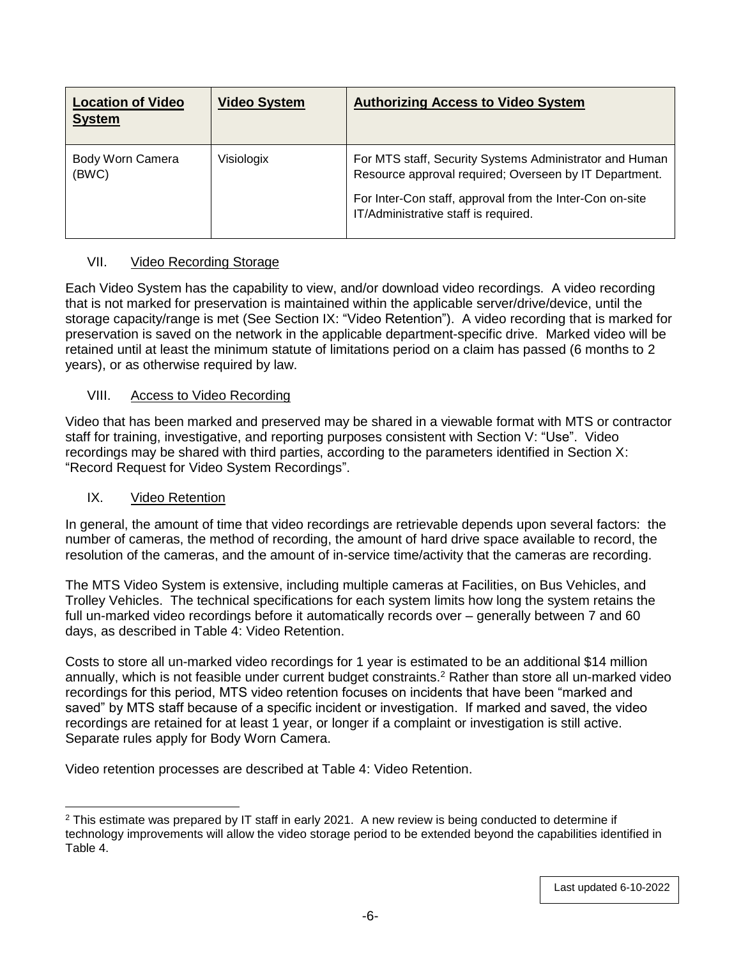| <b>Location of Video</b><br><b>System</b> | <b>Video System</b> | <b>Authorizing Access to Video System</b>                                                                                                                                                                             |
|-------------------------------------------|---------------------|-----------------------------------------------------------------------------------------------------------------------------------------------------------------------------------------------------------------------|
| Body Worn Camera<br>(BWC)                 | Visiologix          | For MTS staff, Security Systems Administrator and Human<br>Resource approval required; Overseen by IT Department.<br>For Inter-Con staff, approval from the Inter-Con on-site<br>IT/Administrative staff is required. |

### VII. Video Recording Storage

Each Video System has the capability to view, and/or download video recordings. A video recording that is not marked for preservation is maintained within the applicable server/drive/device, until the storage capacity/range is met (See Section IX: "Video Retention"). A video recording that is marked for preservation is saved on the network in the applicable department-specific drive. Marked video will be retained until at least the minimum statute of limitations period on a claim has passed (6 months to 2 years), or as otherwise required by law.

#### VIII. Access to Video Recording

Video that has been marked and preserved may be shared in a viewable format with MTS or contractor staff for training, investigative, and reporting purposes consistent with Section V: "Use". Video recordings may be shared with third parties, according to the parameters identified in Section X: "Record Request for Video System Recordings".

#### IX. Video Retention

In general, the amount of time that video recordings are retrievable depends upon several factors: the number of cameras, the method of recording, the amount of hard drive space available to record, the resolution of the cameras, and the amount of in-service time/activity that the cameras are recording.

The MTS Video System is extensive, including multiple cameras at Facilities, on Bus Vehicles, and Trolley Vehicles. The technical specifications for each system limits how long the system retains the full un-marked video recordings before it automatically records over – generally between 7 and 60 days, as described in Table 4: Video Retention.

Costs to store all un-marked video recordings for 1 year is estimated to be an additional \$14 million annually, which is not feasible under current budget constraints.<sup>2</sup> Rather than store all un-marked video recordings for this period, MTS video retention focuses on incidents that have been "marked and saved" by MTS staff because of a specific incident or investigation. If marked and saved, the video recordings are retained for at least 1 year, or longer if a complaint or investigation is still active. Separate rules apply for Body Worn Camera.

Video retention processes are described at Table 4: Video Retention.

 <sup>2</sup> This estimate was prepared by IT staff in early 2021. A new review is being conducted to determine if technology improvements will allow the video storage period to be extended beyond the capabilities identified in Table 4.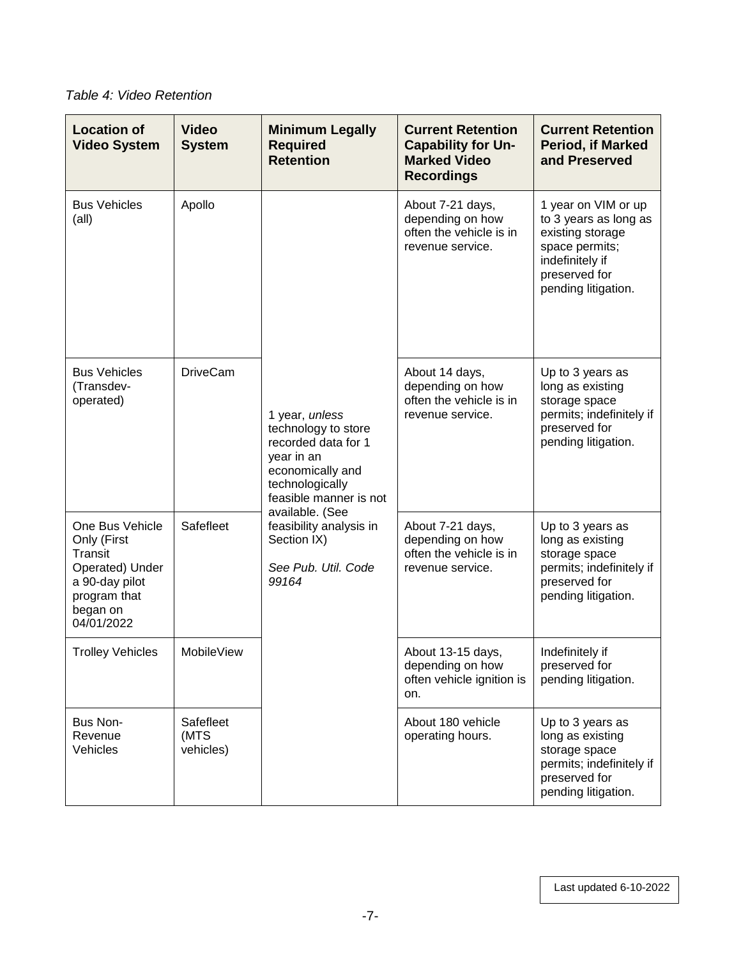*Table 4: Video Retention*

| <b>Location of</b><br><b>Video System</b>                                                                                | <b>Video</b><br><b>System</b>  | <b>Minimum Legally</b><br><b>Required</b><br><b>Retention</b>                                                                                                                                                                            | <b>Current Retention</b><br><b>Capability for Un-</b><br><b>Marked Video</b><br><b>Recordings</b> | <b>Current Retention</b><br>Period, if Marked<br>and Preserved                                                                                |
|--------------------------------------------------------------------------------------------------------------------------|--------------------------------|------------------------------------------------------------------------------------------------------------------------------------------------------------------------------------------------------------------------------------------|---------------------------------------------------------------------------------------------------|-----------------------------------------------------------------------------------------------------------------------------------------------|
| <b>Bus Vehicles</b><br>(all)                                                                                             | Apollo                         | 1 year, unless<br>technology to store<br>recorded data for 1<br>year in an<br>economically and<br>technologically<br>feasible manner is not<br>available. (See<br>feasibility analysis in<br>Section IX)<br>See Pub. Util. Code<br>99164 | About 7-21 days,<br>depending on how<br>often the vehicle is in<br>revenue service.               | 1 year on VIM or up<br>to 3 years as long as<br>existing storage<br>space permits;<br>indefinitely if<br>preserved for<br>pending litigation. |
| <b>Bus Vehicles</b><br>(Transdev-<br>operated)                                                                           | <b>DriveCam</b>                |                                                                                                                                                                                                                                          | About 14 days,<br>depending on how<br>often the vehicle is in<br>revenue service.                 | Up to 3 years as<br>long as existing<br>storage space<br>permits; indefinitely if<br>preserved for<br>pending litigation.                     |
| One Bus Vehicle<br>Only (First<br>Transit<br>Operated) Under<br>a 90-day pilot<br>program that<br>began on<br>04/01/2022 | Safefleet                      |                                                                                                                                                                                                                                          | About 7-21 days,<br>depending on how<br>often the vehicle is in<br>revenue service.               | Up to 3 years as<br>long as existing<br>storage space<br>permits; indefinitely if<br>preserved for<br>pending litigation.                     |
| <b>Trolley Vehicles</b>                                                                                                  | MobileView                     |                                                                                                                                                                                                                                          | About 13-15 days,<br>depending on how<br>often vehicle ignition is<br>on.                         | Indefinitely if<br>preserved for<br>pending litigation.                                                                                       |
| Bus Non-<br>Revenue<br>Vehicles                                                                                          | Safefleet<br>(MTS<br>vehicles) |                                                                                                                                                                                                                                          | About 180 vehicle<br>operating hours.                                                             | Up to 3 years as<br>long as existing<br>storage space<br>permits; indefinitely if<br>preserved for<br>pending litigation.                     |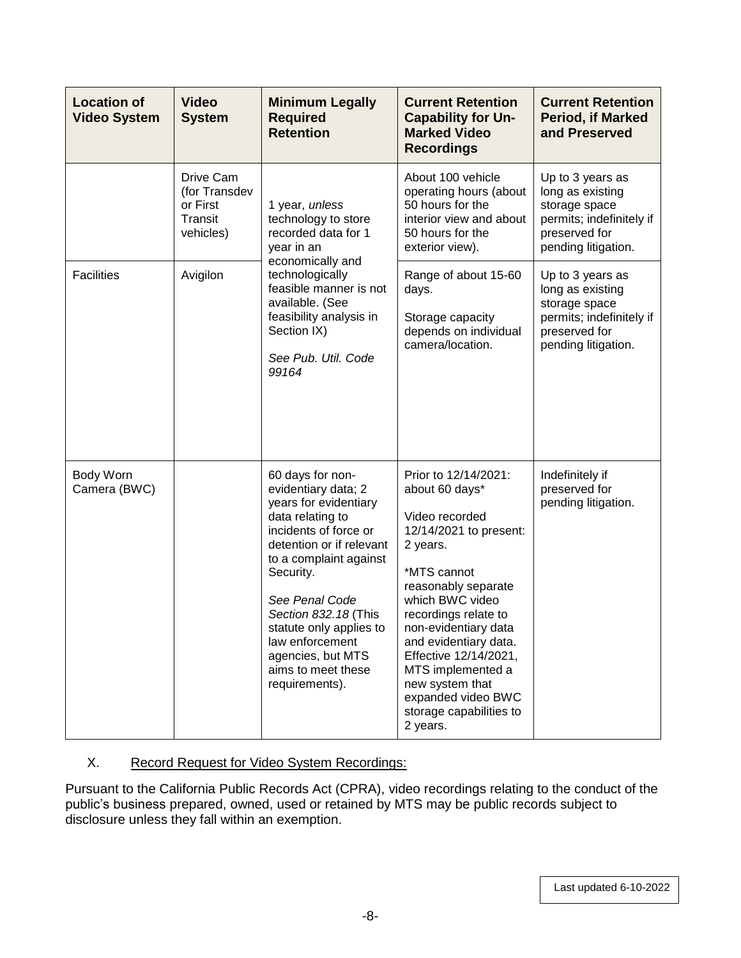| <b>Location of</b><br><b>Video System</b> | <b>Video</b><br><b>System</b>                                  | <b>Minimum Legally</b><br><b>Required</b><br><b>Retention</b>                                                                                                                                                                                                                                                                         | <b>Current Retention</b><br><b>Capability for Un-</b><br><b>Marked Video</b><br><b>Recordings</b>                                                                                                                                                                                                                                                              | <b>Current Retention</b><br><b>Period, if Marked</b><br>and Preserved                                                     |
|-------------------------------------------|----------------------------------------------------------------|---------------------------------------------------------------------------------------------------------------------------------------------------------------------------------------------------------------------------------------------------------------------------------------------------------------------------------------|----------------------------------------------------------------------------------------------------------------------------------------------------------------------------------------------------------------------------------------------------------------------------------------------------------------------------------------------------------------|---------------------------------------------------------------------------------------------------------------------------|
|                                           | Drive Cam<br>(for Transdev<br>or First<br>Transit<br>vehicles) | 1 year, unless<br>technology to store<br>recorded data for 1<br>year in an<br>economically and<br>technologically<br>feasible manner is not<br>available. (See<br>feasibility analysis in<br>Section IX)<br>See Pub. Util. Code<br>99164                                                                                              | About 100 vehicle<br>operating hours (about<br>50 hours for the<br>interior view and about<br>50 hours for the<br>exterior view).                                                                                                                                                                                                                              | Up to 3 years as<br>long as existing<br>storage space<br>permits; indefinitely if<br>preserved for<br>pending litigation. |
| <b>Facilities</b>                         | Avigilon                                                       |                                                                                                                                                                                                                                                                                                                                       | Range of about 15-60<br>days.<br>Storage capacity<br>depends on individual<br>camera/location.                                                                                                                                                                                                                                                                 | Up to 3 years as<br>long as existing<br>storage space<br>permits; indefinitely if<br>preserved for<br>pending litigation. |
| Body Worn<br>Camera (BWC)                 |                                                                | 60 days for non-<br>evidentiary data; 2<br>years for evidentiary<br>data relating to<br>incidents of force or<br>detention or if relevant<br>to a complaint against<br>Security.<br>See Penal Code<br>Section 832.18 (This<br>statute only applies to<br>law enforcement<br>agencies, but MTS<br>aims to meet these<br>requirements). | Prior to 12/14/2021:<br>about 60 days*<br>Video recorded<br>12/14/2021 to present:<br>2 years.<br>*MTS cannot<br>reasonably separate<br>which BWC video<br>recordings relate to<br>non-evidentiary data<br>and evidentiary data.<br>Effective 12/14/2021,<br>MTS implemented a<br>new system that<br>expanded video BWC<br>storage capabilities to<br>2 years. | Indefinitely if<br>preserved for<br>pending litigation.                                                                   |

## X. Record Request for Video System Recordings:

Pursuant to the California Public Records Act (CPRA), video recordings relating to the conduct of the public's business prepared, owned, used or retained by MTS may be public records subject to disclosure unless they fall within an exemption.